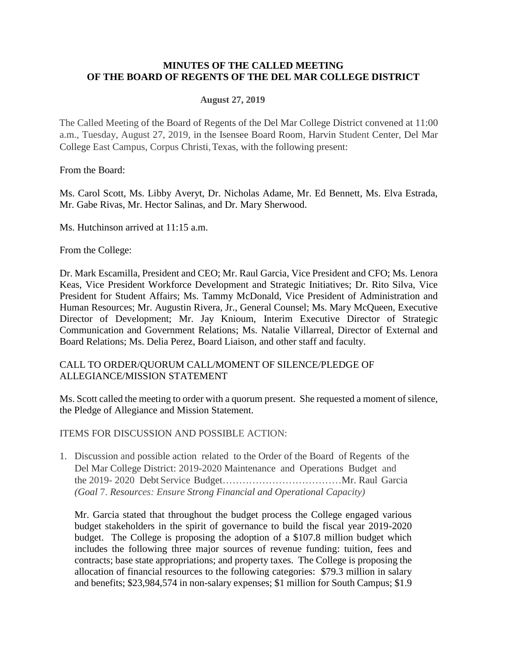### **MINUTES OF THE CALLED MEETING OF THE BOARD OF REGENTS OF THE DEL MAR COLLEGE DISTRICT**

### **August 27, 2019**

The Called Meeting of the Board of Regents of the Del Mar College District convened at 11:00 a.m., Tuesday, August 27, 2019, in the Isensee Board Room, Harvin Student Center, Del Mar College East Campus, Corpus Christi,Texas, with the following present:

From the Board:

Ms. Carol Scott, Ms. Libby Averyt, Dr. Nicholas Adame, Mr. Ed Bennett, Ms. Elva Estrada, Mr. Gabe Rivas, Mr. Hector Salinas, and Dr. Mary Sherwood.

Ms. Hutchinson arrived at 11:15 a.m.

From the College:

Dr. Mark Escamilla, President and CEO; Mr. Raul Garcia, Vice President and CFO; Ms. Lenora Keas, Vice President Workforce Development and Strategic Initiatives; Dr. Rito Silva, Vice President for Student Affairs; Ms. Tammy McDonald, Vice President of Administration and Human Resources; Mr. Augustin Rivera, Jr., General Counsel; Ms. Mary McQueen, Executive Director of Development; Mr. Jay Knioum, Interim Executive Director of Strategic Communication and Government Relations; Ms. Natalie Villarreal, Director of External and Board Relations; Ms. Delia Perez, Board Liaison, and other staff and faculty.

## CALL TO ORDER/QUORUM CALL/MOMENT OF SILENCE/PLEDGE OF ALLEGIANCE/MISSION STATEMENT

Ms. Scott called the meeting to order with a quorum present. She requested a moment of silence, the Pledge of Allegiance and Mission Statement.

ITEMS FOR DISCUSSION AND POSSIBLE ACTION:

1. Discussion and possible action related to the Order of the Board of Regents of the Del Mar College District: 2019-2020 Maintenance and Operations Budget and the 2019- 2020 Debt Service Budget………………………………Mr. Raul Garcia *(Goal* 7. *Resources: Ensure Strong Financial and Operational Capacity)*

Mr. Garcia stated that throughout the budget process the College engaged various budget stakeholders in the spirit of governance to build the fiscal year 2019-2020 budget. The College is proposing the adoption of a \$107.8 million budget which includes the following three major sources of revenue funding: tuition, fees and contracts; base state appropriations; and property taxes. The College is proposing the allocation of financial resources to the following categories: \$79.3 million in salary and benefits; \$23,984,574 in non-salary expenses; \$1 million for South Campus; \$1.9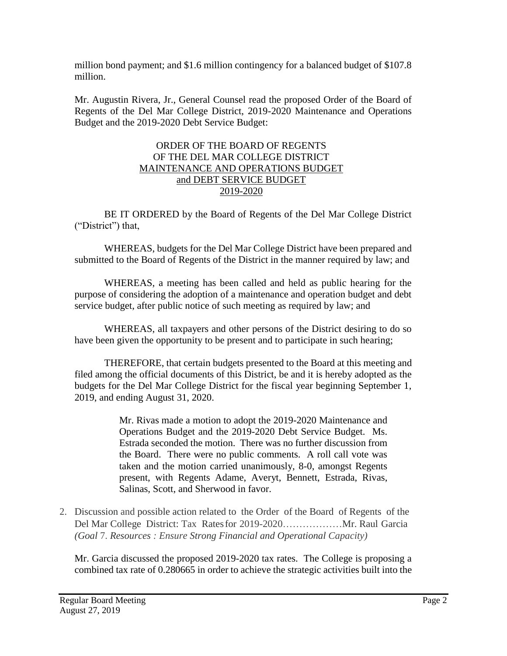million bond payment; and \$1.6 million contingency for a balanced budget of \$107.8 million.

Mr. Augustin Rivera, Jr., General Counsel read the proposed Order of the Board of Regents of the Del Mar College District, 2019-2020 Maintenance and Operations Budget and the 2019-2020 Debt Service Budget:

## ORDER OF THE BOARD OF REGENTS OF THE DEL MAR COLLEGE DISTRICT MAINTENANCE AND OPERATIONS BUDGET and DEBT SERVICE BUDGET 2019-2020

BE IT ORDERED by the Board of Regents of the Del Mar College District ("District") that,

WHEREAS, budgets for the Del Mar College District have been prepared and submitted to the Board of Regents of the District in the manner required by law; and

WHEREAS, a meeting has been called and held as public hearing for the purpose of considering the adoption of a maintenance and operation budget and debt service budget, after public notice of such meeting as required by law; and

WHEREAS, all taxpayers and other persons of the District desiring to do so have been given the opportunity to be present and to participate in such hearing;

THEREFORE, that certain budgets presented to the Board at this meeting and filed among the official documents of this District, be and it is hereby adopted as the budgets for the Del Mar College District for the fiscal year beginning September 1, 2019, and ending August 31, 2020.

> Mr. Rivas made a motion to adopt the 2019-2020 Maintenance and Operations Budget and the 2019-2020 Debt Service Budget. Ms. Estrada seconded the motion. There was no further discussion from the Board. There were no public comments. A roll call vote was taken and the motion carried unanimously, 8-0, amongst Regents present, with Regents Adame, Averyt, Bennett, Estrada, Rivas, Salinas, Scott, and Sherwood in favor.

2. Discussion and possible action related to the Order of the Board of Regents of the Del Mar College District: Tax Ratesfor 2019-2020………………Mr. Raul Garcia *(Goal* 7. *Resources : Ensure Strong Financial and Operational Capacity)*

Mr. Garcia discussed the proposed 2019-2020 tax rates. The College is proposing a combined tax rate of 0.280665 in order to achieve the strategic activities built into the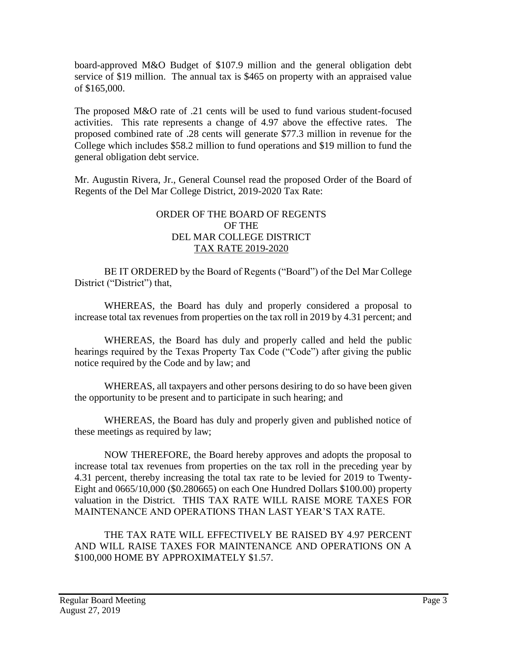board-approved M&O Budget of \$107.9 million and the general obligation debt service of \$19 million. The annual tax is \$465 on property with an appraised value of \$165,000.

The proposed M&O rate of .21 cents will be used to fund various student-focused activities. This rate represents a change of 4.97 above the effective rates. The proposed combined rate of .28 cents will generate \$77.3 million in revenue for the College which includes \$58.2 million to fund operations and \$19 million to fund the general obligation debt service.

Mr. Augustin Rivera, Jr., General Counsel read the proposed Order of the Board of Regents of the Del Mar College District, 2019-2020 Tax Rate:

## ORDER OF THE BOARD OF REGENTS OF THE DEL MAR COLLEGE DISTRICT TAX RATE 2019-2020

BE IT ORDERED by the Board of Regents ("Board") of the Del Mar College District ("District") that,

WHEREAS, the Board has duly and properly considered a proposal to increase total tax revenues from properties on the tax roll in 2019 by 4.31 percent; and

WHEREAS, the Board has duly and properly called and held the public hearings required by the Texas Property Tax Code ("Code") after giving the public notice required by the Code and by law; and

WHEREAS, all taxpayers and other persons desiring to do so have been given the opportunity to be present and to participate in such hearing; and

WHEREAS, the Board has duly and properly given and published notice of these meetings as required by law;

NOW THEREFORE, the Board hereby approves and adopts the proposal to increase total tax revenues from properties on the tax roll in the preceding year by 4.31 percent, thereby increasing the total tax rate to be levied for 2019 to Twenty-Eight and 0665/10,000 (\$0.280665) on each One Hundred Dollars \$100.00) property valuation in the District. THIS TAX RATE WILL RAISE MORE TAXES FOR MAINTENANCE AND OPERATIONS THAN LAST YEAR'S TAX RATE.

THE TAX RATE WILL EFFECTIVELY BE RAISED BY 4.97 PERCENT AND WILL RAISE TAXES FOR MAINTENANCE AND OPERATIONS ON A \$100,000 HOME BY APPROXIMATELY \$1.57.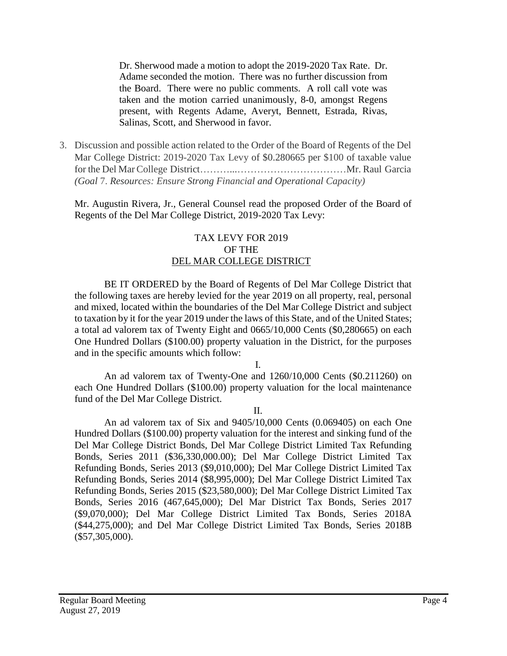Dr. Sherwood made a motion to adopt the 2019-2020 Tax Rate. Dr. Adame seconded the motion. There was no further discussion from the Board. There were no public comments. A roll call vote was taken and the motion carried unanimously, 8-0, amongst Regens present, with Regents Adame, Averyt, Bennett, Estrada, Rivas, Salinas, Scott, and Sherwood in favor.

3. Discussion and possible action related to the Order of the Board of Regents of the Del Mar College District: 2019-2020 Tax Levy of \$0.280665 per \$100 of taxable value for the Del MarCollege District………...……………………………Mr. Raul Garcia *(Goal* 7. *Resources: Ensure Strong Financial and Operational Capacity)*

Mr. Augustin Rivera, Jr., General Counsel read the proposed Order of the Board of Regents of the Del Mar College District, 2019-2020 Tax Levy:

### TAX LEVY FOR 2019 OF THE DEL MAR COLLEGE DISTRICT

BE IT ORDERED by the Board of Regents of Del Mar College District that the following taxes are hereby levied for the year 2019 on all property, real, personal and mixed, located within the boundaries of the Del Mar College District and subject to taxation by it for the year 2019 under the laws of this State, and of the United States; a total ad valorem tax of Twenty Eight and 0665/10,000 Cents (\$0,280665) on each One Hundred Dollars (\$100.00) property valuation in the District, for the purposes and in the specific amounts which follow:

I.

An ad valorem tax of Twenty-One and 1260/10,000 Cents (\$0.211260) on each One Hundred Dollars (\$100.00) property valuation for the local maintenance fund of the Del Mar College District.

II.

An ad valorem tax of Six and 9405/10,000 Cents (0.069405) on each One Hundred Dollars (\$100.00) property valuation for the interest and sinking fund of the Del Mar College District Bonds, Del Mar College District Limited Tax Refunding Bonds, Series 2011 (\$36,330,000.00); Del Mar College District Limited Tax Refunding Bonds, Series 2013 (\$9,010,000); Del Mar College District Limited Tax Refunding Bonds, Series 2014 (\$8,995,000); Del Mar College District Limited Tax Refunding Bonds, Series 2015 (\$23,580,000); Del Mar College District Limited Tax Bonds, Series 2016 (467,645,000); Del Mar District Tax Bonds, Series 2017 (\$9,070,000); Del Mar College District Limited Tax Bonds, Series 2018A (\$44,275,000); and Del Mar College District Limited Tax Bonds, Series 2018B (\$57,305,000).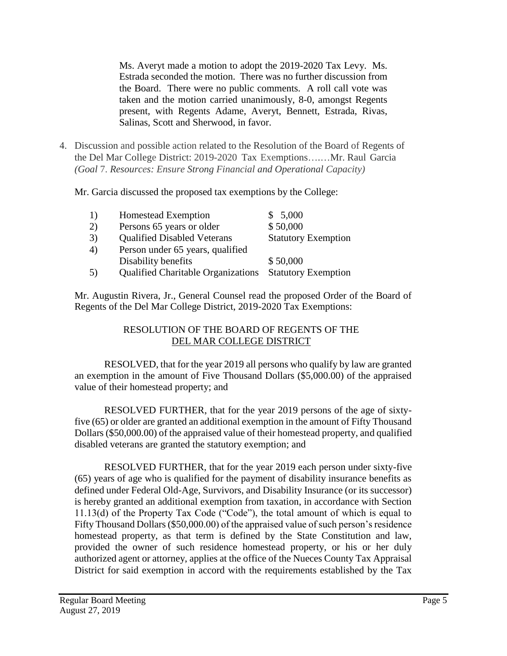Ms. Averyt made a motion to adopt the 2019-2020 Tax Levy. Ms. Estrada seconded the motion. There was no further discussion from the Board. There were no public comments. A roll call vote was taken and the motion carried unanimously, 8-0, amongst Regents present, with Regents Adame, Averyt, Bennett, Estrada, Rivas, Salinas, Scott and Sherwood, in favor.

4. Discussion and possible action related to the Resolution of the Board of Regents of the Del Mar College District: 2019-2020 Tax Exemptions….…Mr. Raul Garcia *(Goal* 7. *Resources: Ensure Strong Financial and Operational Capacity)*

Mr. Garcia discussed the proposed tax exemptions by the College:

| <sup>1</sup>     | <b>Homestead Exemption</b>                | \$5,000                    |
|------------------|-------------------------------------------|----------------------------|
| 2)               | Persons 65 years or older                 | \$50,000                   |
| 3)               | <b>Qualified Disabled Veterans</b>        | <b>Statutory Exemption</b> |
| 4)               | Person under 65 years, qualified          |                            |
|                  | Disability benefits                       | \$50,000                   |
| $\left(5\right)$ | <b>Qualified Charitable Organizations</b> | <b>Statutory Exemption</b> |

Mr. Augustin Rivera, Jr., General Counsel read the proposed Order of the Board of Regents of the Del Mar College District, 2019-2020 Tax Exemptions:

# RESOLUTION OF THE BOARD OF REGENTS OF THE DEL MAR COLLEGE DISTRICT

RESOLVED, that for the year 2019 all persons who qualify by law are granted an exemption in the amount of Five Thousand Dollars (\$5,000.00) of the appraised value of their homestead property; and

RESOLVED FURTHER, that for the year 2019 persons of the age of sixtyfive (65) or older are granted an additional exemption in the amount of Fifty Thousand Dollars (\$50,000.00) of the appraised value of their homestead property, and qualified disabled veterans are granted the statutory exemption; and

RESOLVED FURTHER, that for the year 2019 each person under sixty-five (65) years of age who is qualified for the payment of disability insurance benefits as defined under Federal Old-Age, Survivors, and Disability Insurance (or its successor) is hereby granted an additional exemption from taxation, in accordance with Section 11.13(d) of the Property Tax Code ("Code"), the total amount of which is equal to Fifty Thousand Dollars (\$50,000.00) of the appraised value of such person's residence homestead property, as that term is defined by the State Constitution and law, provided the owner of such residence homestead property, or his or her duly authorized agent or attorney, applies at the office of the Nueces County Tax Appraisal District for said exemption in accord with the requirements established by the Tax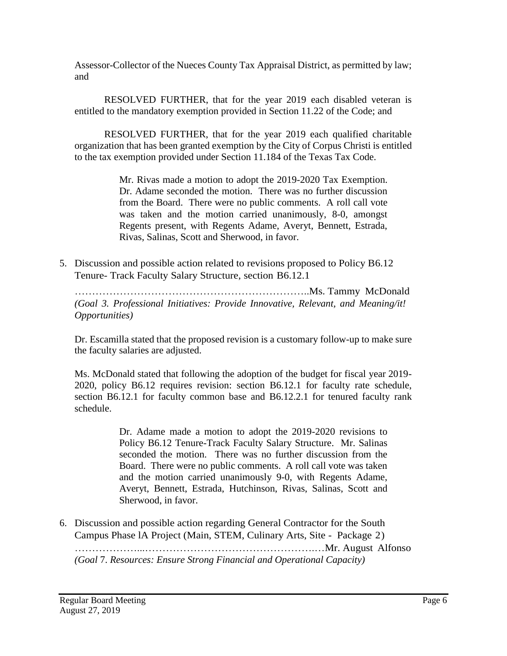Assessor-Collector of the Nueces County Tax Appraisal District, as permitted by law; and

RESOLVED FURTHER, that for the year 2019 each disabled veteran is entitled to the mandatory exemption provided in Section 11.22 of the Code; and

RESOLVED FURTHER, that for the year 2019 each qualified charitable organization that has been granted exemption by the City of Corpus Christi is entitled to the tax exemption provided under Section 11.184 of the Texas Tax Code.

> Mr. Rivas made a motion to adopt the 2019-2020 Tax Exemption. Dr. Adame seconded the motion. There was no further discussion from the Board. There were no public comments. A roll call vote was taken and the motion carried unanimously, 8-0, amongst Regents present, with Regents Adame, Averyt, Bennett, Estrada, Rivas, Salinas, Scott and Sherwood, in favor.

5. Discussion and possible action related to revisions proposed to Policy B6.12 Tenure- Track Faculty Salary Structure, section B6.12.1

…………………………………………………………..Ms. Tammy McDonald *(Goal 3. Professional Initiatives: Provide Innovative, Relevant, and Meaning/it! Opportunities)*

Dr. Escamilla stated that the proposed revision is a customary follow-up to make sure the faculty salaries are adjusted.

Ms. McDonald stated that following the adoption of the budget for fiscal year 2019- 2020, policy B6.12 requires revision: section B6.12.1 for faculty rate schedule, section B6.12.1 for faculty common base and B6.12.2.1 for tenured faculty rank schedule.

> Dr. Adame made a motion to adopt the 2019-2020 revisions to Policy B6.12 Tenure-Track Faculty Salary Structure. Mr. Salinas seconded the motion. There was no further discussion from the Board. There were no public comments. A roll call vote was taken and the motion carried unanimously 9-0, with Regents Adame, Averyt, Bennett, Estrada, Hutchinson, Rivas, Salinas, Scott and Sherwood, in favor.

6. Discussion and possible action regarding General Contractor for the South Campus Phase lA Project (Main, STEM, Culinary Arts, Site - Package 2) ………………...………………………………………….…Mr. August Alfonso *(Goal* 7. *Resources: Ensure Strong Financial and Operational Capacity)*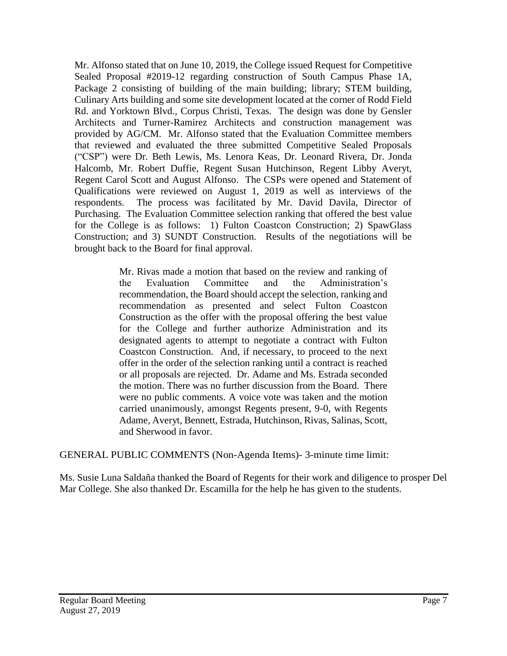Mr. Alfonso stated that on June 10, 2019, the College issued Request for Competitive Sealed Proposal #2019-12 regarding construction of South Campus Phase 1A, Package 2 consisting of building of the main building; library; STEM building, Culinary Arts building and some site development located at the corner of Rodd Field Rd. and Yorktown Blvd., Corpus Christi, Texas. The design was done by Gensler Architects and Turner-Ramirez Architects and construction management was provided by AG/CM. Mr. Alfonso stated that the Evaluation Committee members that reviewed and evaluated the three submitted Competitive Sealed Proposals ("CSP") were Dr. Beth Lewis, Ms. Lenora Keas, Dr. Leonard Rivera, Dr. Jonda Halcomb, Mr. Robert Duffie, Regent Susan Hutchinson, Regent Libby Averyt, Regent Carol Scott and August Alfonso. The CSPs were opened and Statement of Qualifications were reviewed on August 1, 2019 as well as interviews of the respondents. The process was facilitated by Mr. David Davila, Director of Purchasing. The Evaluation Committee selection ranking that offered the best value for the College is as follows: 1) Fulton Coastcon Construction; 2) SpawGlass Construction; and 3) SUNDT Construction. Results of the negotiations will be brought back to the Board for final approval.

> Mr. Rivas made a motion that based on the review and ranking of the Evaluation Committee and the Administration's recommendation, the Board should accept the selection, ranking and recommendation as presented and select Fulton Coastcon Construction as the offer with the proposal offering the best value for the College and further authorize Administration and its designated agents to attempt to negotiate a contract with Fulton Coastcon Construction. And, if necessary, to proceed to the next offer in the order of the selection ranking until a contract is reached or all proposals are rejected. Dr. Adame and Ms. Estrada seconded the motion. There was no further discussion from the Board. There were no public comments. A voice vote was taken and the motion carried unanimously, amongst Regents present, 9-0, with Regents Adame, Averyt, Bennett, Estrada, Hutchinson, Rivas, Salinas, Scott, and Sherwood in favor.

GENERAL PUBLIC COMMENTS (Non-Agenda Items)- 3-minute time limit:

Ms. Susie Luna Saldaña thanked the Board of Regents for their work and diligence to prosper Del Mar College. She also thanked Dr. Escamilla for the help he has given to the students.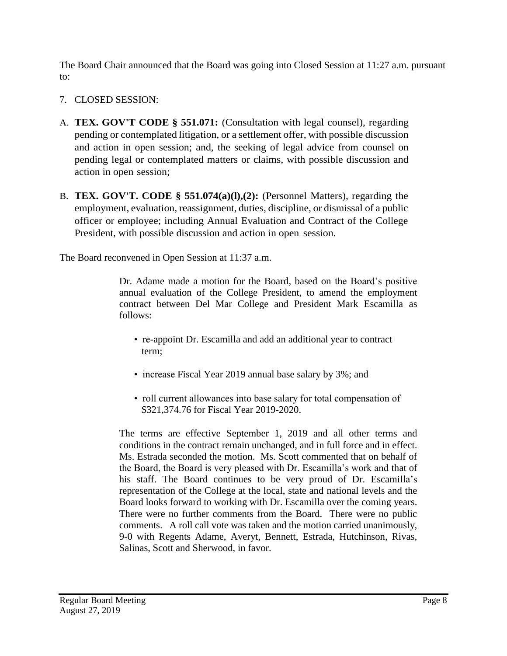The Board Chair announced that the Board was going into Closed Session at 11:27 a.m. pursuant to:

- 7. CLOSED SESSION:
- A. **TEX. GOV'T CODE § 551.071:** (Consultation with legal counsel), regarding pending or contemplated litigation, or a settlement offer, with possible discussion and action in open session; and, the seeking of legal advice from counsel on pending legal or contemplated matters or claims, with possible discussion and action in open session;
- B. **TEX. GOV'T. CODE § 551.074(a)(l),(2):** (Personnel Matters), regarding the employment, evaluation, reassignment, duties, discipline, or dismissal of a public officer or employee; including Annual Evaluation and Contract of the College President, with possible discussion and action in open session.

The Board reconvened in Open Session at 11:37 a.m.

Dr. Adame made a motion for the Board, based on the Board's positive annual evaluation of the College President, to amend the employment contract between Del Mar College and President Mark Escamilla as follows:

- re-appoint Dr. Escamilla and add an additional year to contract term;
- increase Fiscal Year 2019 annual base salary by 3%; and
- roll current allowances into base salary for total compensation of \$321,374.76 for Fiscal Year 2019-2020.

The terms are effective September 1, 2019 and all other terms and conditions in the contract remain unchanged, and in full force and in effect. Ms. Estrada seconded the motion. Ms. Scott commented that on behalf of the Board, the Board is very pleased with Dr. Escamilla's work and that of his staff. The Board continues to be very proud of Dr. Escamilla's representation of the College at the local, state and national levels and the Board looks forward to working with Dr. Escamilla over the coming years. There were no further comments from the Board. There were no public comments. A roll call vote was taken and the motion carried unanimously, 9-0 with Regents Adame, Averyt, Bennett, Estrada, Hutchinson, Rivas, Salinas, Scott and Sherwood, in favor.